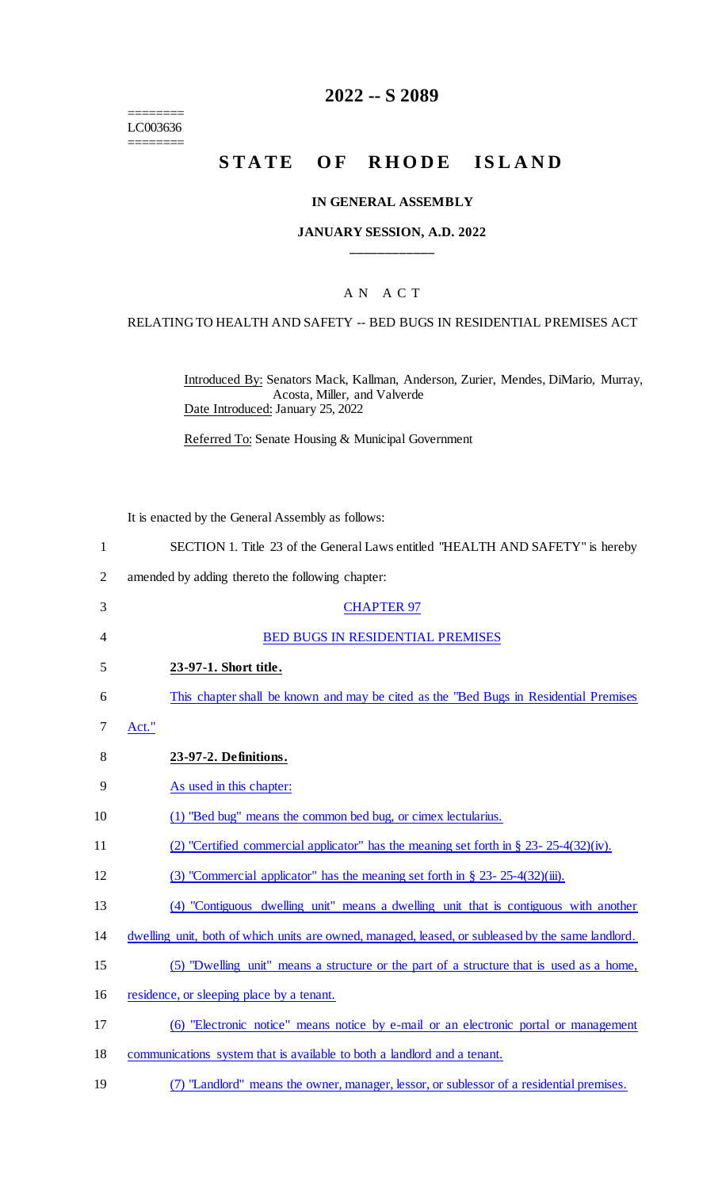======== LC003636 ========

## **2022 -- S 2089**

# STATE OF RHODE ISLAND

#### **IN GENERAL ASSEMBLY**

#### **JANUARY SESSION, A.D. 2022 \_\_\_\_\_\_\_\_\_\_\_\_**

## A N A C T

#### RELATING TO HEALTH AND SAFETY -- BED BUGS IN RESIDENTIAL PREMISES ACT

Introduced By: Senators Mack, Kallman, Anderson, Zurier, Mendes, DiMario, Murray, Acosta, Miller, and Valverde Date Introduced: January 25, 2022

Referred To: Senate Housing & Municipal Government

It is enacted by the General Assembly as follows:

|  |  |  | SECTION 1. Title 23 of the General Laws entitled "HEALTH AND SAFETY" is hereby |  |
|--|--|--|--------------------------------------------------------------------------------|--|
|  |  |  |                                                                                |  |

- 2 amended by adding thereto the following chapter:
- 3 CHAPTER 97 4 BED BUGS IN RESIDENTIAL PREMISES 5 **23-97-1. Short title.** 6 This chapter shall be known and may be cited as the "Bed Bugs in Residential Premises 7 Act." 8 **23-97-2. Definitions.** 9 As used in this chapter: 10 (1) "Bed bug" means the common bed bug, or cimex lectularius. 11 (2) "Certified commercial applicator" has the meaning set forth in § 23- 25-4(32)(iv). 12 (3) "Commercial applicator" has the meaning set forth in § 23- 25-4(32)(iii). 13 (4) "Contiguous dwelling unit" means a dwelling unit that is contiguous with another 14 dwelling unit, both of which units are owned, managed, leased, or subleased by the same landlord. 15 (5) "Dwelling unit" means a structure or the part of a structure that is used as a home, 16 residence, or sleeping place by a tenant. 17 (6) "Electronic notice" means notice by e-mail or an electronic portal or management 18 communications system that is available to both a landlord and a tenant.
- 19 (7) "Landlord" means the owner, manager, lessor, or sublessor of a residential premises.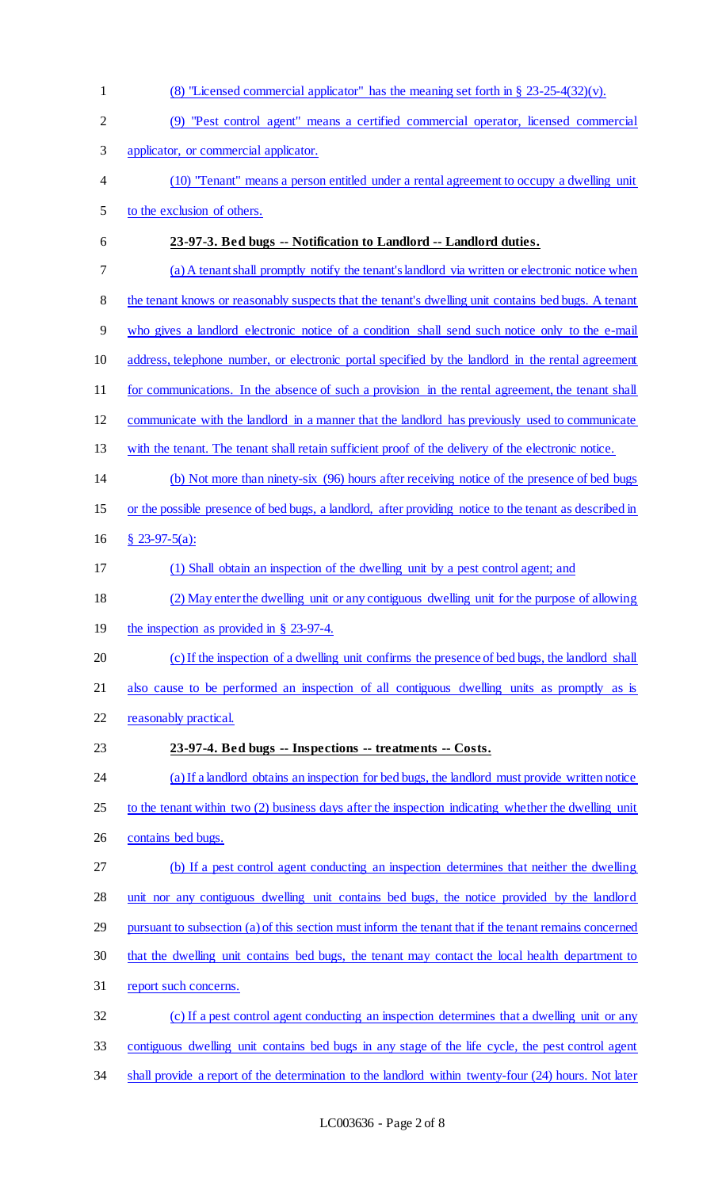(8) "Licensed commercial applicator" has the meaning set forth in § 23-25-4(32)(v). (9) "Pest control agent" means a certified commercial operator, licensed commercial applicator, or commercial applicator. (10) "Tenant" means a person entitled under a rental agreement to occupy a dwelling unit to the exclusion of others. **23-97-3. Bed bugs -- Notification to Landlord -- Landlord duties.** (a) A tenant shall promptly notify the tenant's landlord via written or electronic notice when 8 the tenant knows or reasonably suspects that the tenant's dwelling unit contains bed bugs. A tenant who gives a landlord electronic notice of a condition shall send such notice only to the e-mail address, telephone number, or electronic portal specified by the landlord in the rental agreement 11 for communications. In the absence of such a provision in the rental agreement, the tenant shall communicate with the landlord in a manner that the landlord has previously used to communicate with the tenant. The tenant shall retain sufficient proof of the delivery of the electronic notice. (b) Not more than ninety-six (96) hours after receiving notice of the presence of bed bugs or the possible presence of bed bugs, a landlord, after providing notice to the tenant as described in § 23-97-5(a): (1) Shall obtain an inspection of the dwelling unit by a pest control agent; and (2) May enter the dwelling unit or any contiguous dwelling unit for the purpose of allowing the inspection as provided in § 23-97-4. (c) If the inspection of a dwelling unit confirms the presence of bed bugs, the landlord shall also cause to be performed an inspection of all contiguous dwelling units as promptly as is reasonably practical. **23-97-4. Bed bugs -- Inspections -- treatments -- Costs.** (a) If a landlord obtains an inspection for bed bugs, the landlord must provide written notice to the tenant within two (2) business days after the inspection indicating whether the dwelling unit contains bed bugs. (b) If a pest control agent conducting an inspection determines that neither the dwelling unit nor any contiguous dwelling unit contains bed bugs, the notice provided by the landlord pursuant to subsection (a) of this section must inform the tenant that if the tenant remains concerned that the dwelling unit contains bed bugs, the tenant may contact the local health department to report such concerns. (c) If a pest control agent conducting an inspection determines that a dwelling unit or any contiguous dwelling unit contains bed bugs in any stage of the life cycle, the pest control agent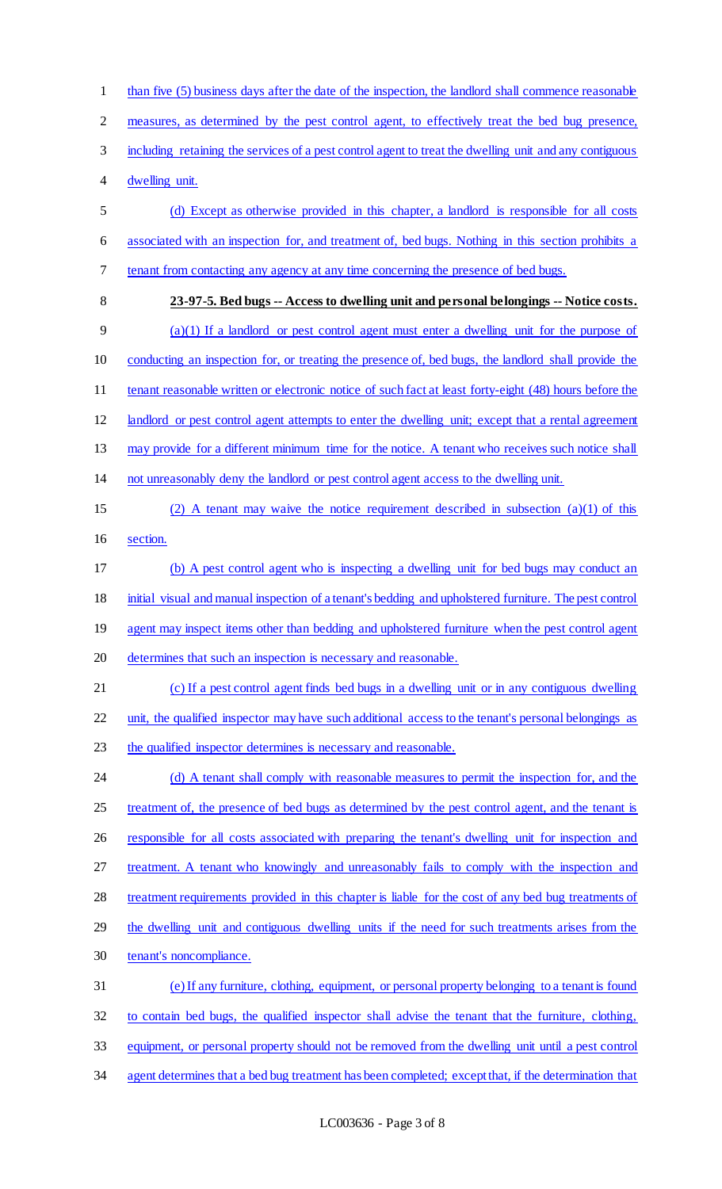1 than five (5) business days after the date of the inspection, the landlord shall commence reasonable measures, as determined by the pest control agent, to effectively treat the bed bug presence, including retaining the services of a pest control agent to treat the dwelling unit and any contiguous dwelling unit. (d) Except as otherwise provided in this chapter, a landlord is responsible for all costs associated with an inspection for, and treatment of, bed bugs. Nothing in this section prohibits a tenant from contacting any agency at any time concerning the presence of bed bugs. **23-97-5. Bed bugs -- Access to dwelling unit and personal belongings -- Notice costs.** (a)(1) If a landlord or pest control agent must enter a dwelling unit for the purpose of conducting an inspection for, or treating the presence of, bed bugs, the landlord shall provide the 11 tenant reasonable written or electronic notice of such fact at least forty-eight (48) hours before the landlord or pest control agent attempts to enter the dwelling unit; except that a rental agreement may provide for a different minimum time for the notice. A tenant who receives such notice shall not unreasonably deny the landlord or pest control agent access to the dwelling unit. (2) A tenant may waive the notice requirement described in subsection (a)(1) of this section. (b) A pest control agent who is inspecting a dwelling unit for bed bugs may conduct an initial visual and manual inspection of a tenant's bedding and upholstered furniture. The pest control 19 agent may inspect items other than bedding and upholstered furniture when the pest control agent determines that such an inspection is necessary and reasonable. (c) If a pest control agent finds bed bugs in a dwelling unit or in any contiguous dwelling unit, the qualified inspector may have such additional access to the tenant's personal belongings as 23 the qualified inspector determines is necessary and reasonable. 24 (d) A tenant shall comply with reasonable measures to permit the inspection for, and the 25 treatment of, the presence of bed bugs as determined by the pest control agent, and the tenant is 26 responsible for all costs associated with preparing the tenant's dwelling unit for inspection and treatment. A tenant who knowingly and unreasonably fails to comply with the inspection and treatment requirements provided in this chapter is liable for the cost of any bed bug treatments of the dwelling unit and contiguous dwelling units if the need for such treatments arises from the tenant's noncompliance. (e) If any furniture, clothing, equipment, or personal property belonging to a tenant is found to contain bed bugs, the qualified inspector shall advise the tenant that the furniture, clothing, equipment, or personal property should not be removed from the dwelling unit until a pest control agent determines that a bed bug treatment has been completed; except that, if the determination that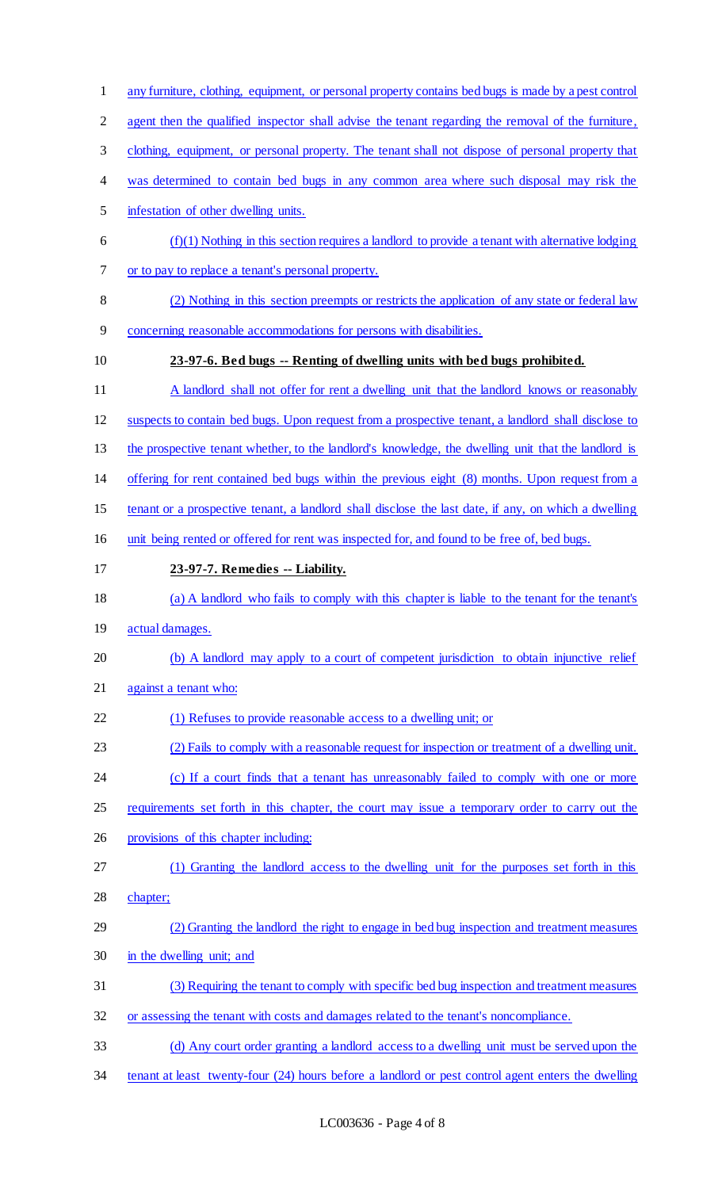- any furniture, clothing, equipment, or personal property contains bed bugs is made by a pest control
- 2 agent then the qualified inspector shall advise the tenant regarding the removal of the furniture,
- clothing, equipment, or personal property. The tenant shall not dispose of personal property that
- 4 was determined to contain bed bugs in any common area where such disposal may risk the
- infestation of other dwelling units.
- $6 \quad$  (f)(1) Nothing in this section requires a landlord to provide a tenant with alternative lodging or to pay to replace a tenant's personal property.
- (2) Nothing in this section preempts or restricts the application of any state or federal law
- concerning reasonable accommodations for persons with disabilities.
- 

### **23-97-6. Bed bugs -- Renting of dwelling units with bed bugs prohibited.**

- 11 A landlord shall not offer for rent a dwelling unit that the landlord knows or reasonably
- suspects to contain bed bugs. Upon request from a prospective tenant, a landlord shall disclose to
- the prospective tenant whether, to the landlord's knowledge, the dwelling unit that the landlord is
- offering for rent contained bed bugs within the previous eight (8) months. Upon request from a
- tenant or a prospective tenant, a landlord shall disclose the last date, if any, on which a dwelling
- unit being rented or offered for rent was inspected for, and found to be free of, bed bugs.
- **23-97-7. Remedies -- Liability.**
- (a) A landlord who fails to comply with this chapter is liable to the tenant for the tenant's
- actual damages.
- (b) A landlord may apply to a court of competent jurisdiction to obtain injunctive relief
- against a tenant who:
- (1) Refuses to provide reasonable access to a dwelling unit; or
- (2) Fails to comply with a reasonable request for inspection or treatment of a dwelling unit.
- 24 (c) If a court finds that a tenant has unreasonably failed to comply with one or more
- requirements set forth in this chapter, the court may issue a temporary order to carry out the
- provisions of this chapter including:
- (1) Granting the landlord access to the dwelling unit for the purposes set forth in this
- chapter;
- (2) Granting the landlord the right to engage in bed bug inspection and treatment measures in the dwelling unit; and
- (3) Requiring the tenant to comply with specific bed bug inspection and treatment measures
- or assessing the tenant with costs and damages related to the tenant's noncompliance.
- (d) Any court order granting a landlord access to a dwelling unit must be served upon the
- tenant at least twenty-four (24) hours before a landlord or pest control agent enters the dwelling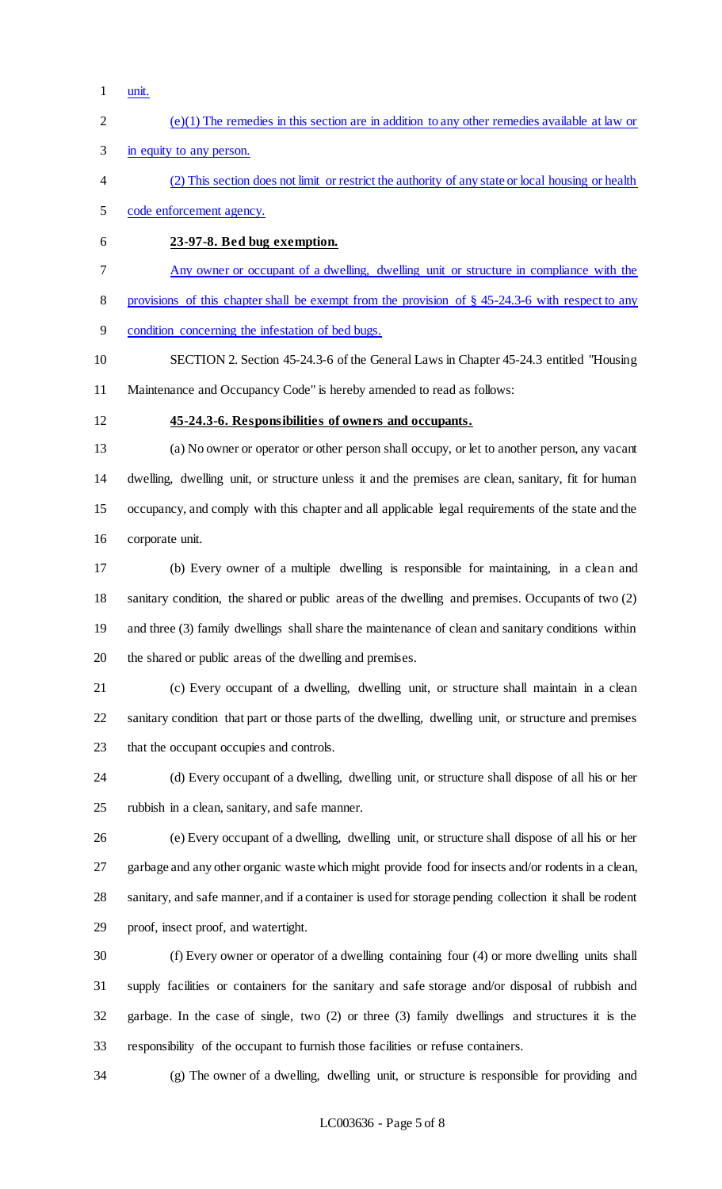- unit.
- (e)(1) The remedies in this section are in addition to any other remedies available at law or
- in equity to any person.
- (2) This section does not limit or restrict the authority of any state or local housing or health
- code enforcement agency.
- **23-97-8. Bed bug exemption.**
- Any owner or occupant of a dwelling, dwelling unit or structure in compliance with the

provisions of this chapter shall be exempt from the provision of § 45-24.3-6 with respect to any

condition concerning the infestation of bed bugs.

 SECTION 2. Section 45-24.3-6 of the General Laws in Chapter 45-24.3 entitled "Housing Maintenance and Occupancy Code" is hereby amended to read as follows:

#### **45-24.3-6. Responsibilities of owners and occupants.**

 (a) No owner or operator or other person shall occupy, or let to another person, any vacant dwelling, dwelling unit, or structure unless it and the premises are clean, sanitary, fit for human occupancy, and comply with this chapter and all applicable legal requirements of the state and the corporate unit.

 (b) Every owner of a multiple dwelling is responsible for maintaining, in a clean and sanitary condition, the shared or public areas of the dwelling and premises. Occupants of two (2) and three (3) family dwellings shall share the maintenance of clean and sanitary conditions within the shared or public areas of the dwelling and premises.

 (c) Every occupant of a dwelling, dwelling unit, or structure shall maintain in a clean sanitary condition that part or those parts of the dwelling, dwelling unit, or structure and premises that the occupant occupies and controls.

 (d) Every occupant of a dwelling, dwelling unit, or structure shall dispose of all his or her rubbish in a clean, sanitary, and safe manner.

 (e) Every occupant of a dwelling, dwelling unit, or structure shall dispose of all his or her garbage and any other organic waste which might provide food for insects and/or rodents in a clean, sanitary, and safe manner, and if a container is used for storage pending collection it shall be rodent proof, insect proof, and watertight.

 (f) Every owner or operator of a dwelling containing four (4) or more dwelling units shall supply facilities or containers for the sanitary and safe storage and/or disposal of rubbish and garbage. In the case of single, two (2) or three (3) family dwellings and structures it is the responsibility of the occupant to furnish those facilities or refuse containers.

(g) The owner of a dwelling, dwelling unit, or structure is responsible for providing and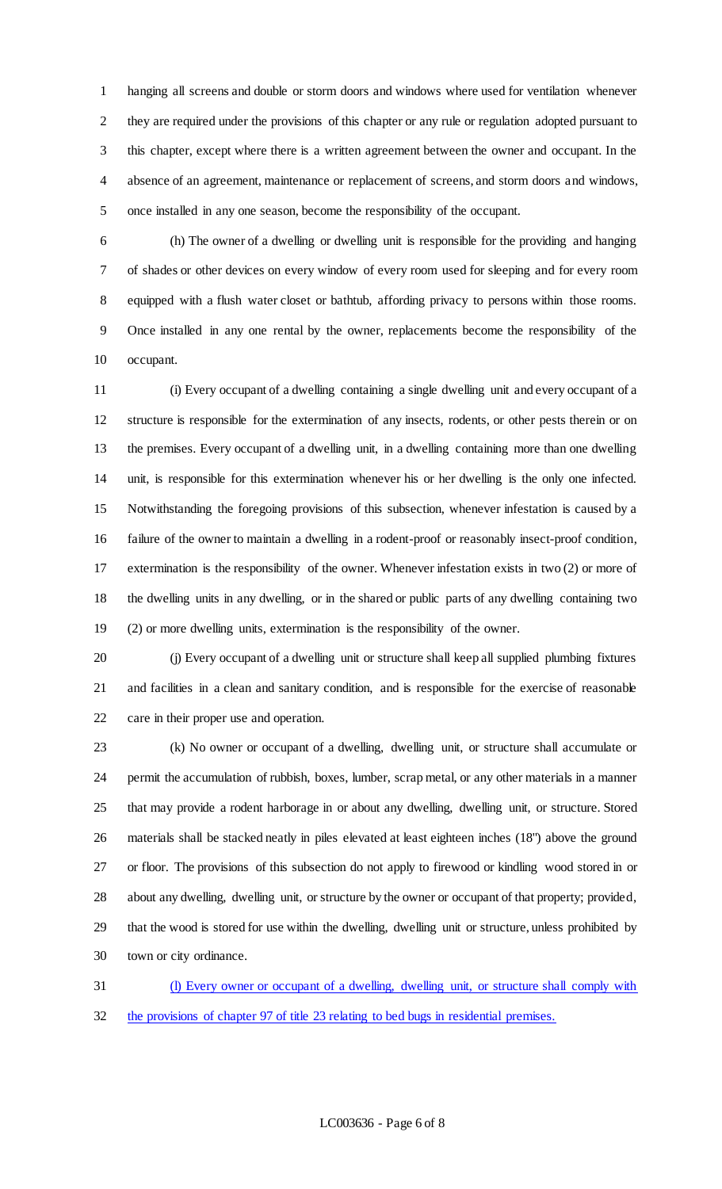hanging all screens and double or storm doors and windows where used for ventilation whenever they are required under the provisions of this chapter or any rule or regulation adopted pursuant to this chapter, except where there is a written agreement between the owner and occupant. In the absence of an agreement, maintenance or replacement of screens, and storm doors and windows, once installed in any one season, become the responsibility of the occupant.

 (h) The owner of a dwelling or dwelling unit is responsible for the providing and hanging of shades or other devices on every window of every room used for sleeping and for every room equipped with a flush water closet or bathtub, affording privacy to persons within those rooms. Once installed in any one rental by the owner, replacements become the responsibility of the occupant.

 (i) Every occupant of a dwelling containing a single dwelling unit and every occupant of a structure is responsible for the extermination of any insects, rodents, or other pests therein or on the premises. Every occupant of a dwelling unit, in a dwelling containing more than one dwelling unit, is responsible for this extermination whenever his or her dwelling is the only one infected. Notwithstanding the foregoing provisions of this subsection, whenever infestation is caused by a failure of the owner to maintain a dwelling in a rodent-proof or reasonably insect-proof condition, extermination is the responsibility of the owner. Whenever infestation exists in two (2) or more of the dwelling units in any dwelling, or in the shared or public parts of any dwelling containing two (2) or more dwelling units, extermination is the responsibility of the owner.

 (j) Every occupant of a dwelling unit or structure shall keep all supplied plumbing fixtures and facilities in a clean and sanitary condition, and is responsible for the exercise of reasonable care in their proper use and operation.

 (k) No owner or occupant of a dwelling, dwelling unit, or structure shall accumulate or permit the accumulation of rubbish, boxes, lumber, scrap metal, or any other materials in a manner that may provide a rodent harborage in or about any dwelling, dwelling unit, or structure. Stored materials shall be stacked neatly in piles elevated at least eighteen inches (18") above the ground or floor. The provisions of this subsection do not apply to firewood or kindling wood stored in or about any dwelling, dwelling unit, or structure by the owner or occupant of that property; provided, that the wood is stored for use within the dwelling, dwelling unit or structure, unless prohibited by town or city ordinance.

 (l) Every owner or occupant of a dwelling, dwelling unit, or structure shall comply with the provisions of chapter 97 of title 23 relating to bed bugs in residential premises.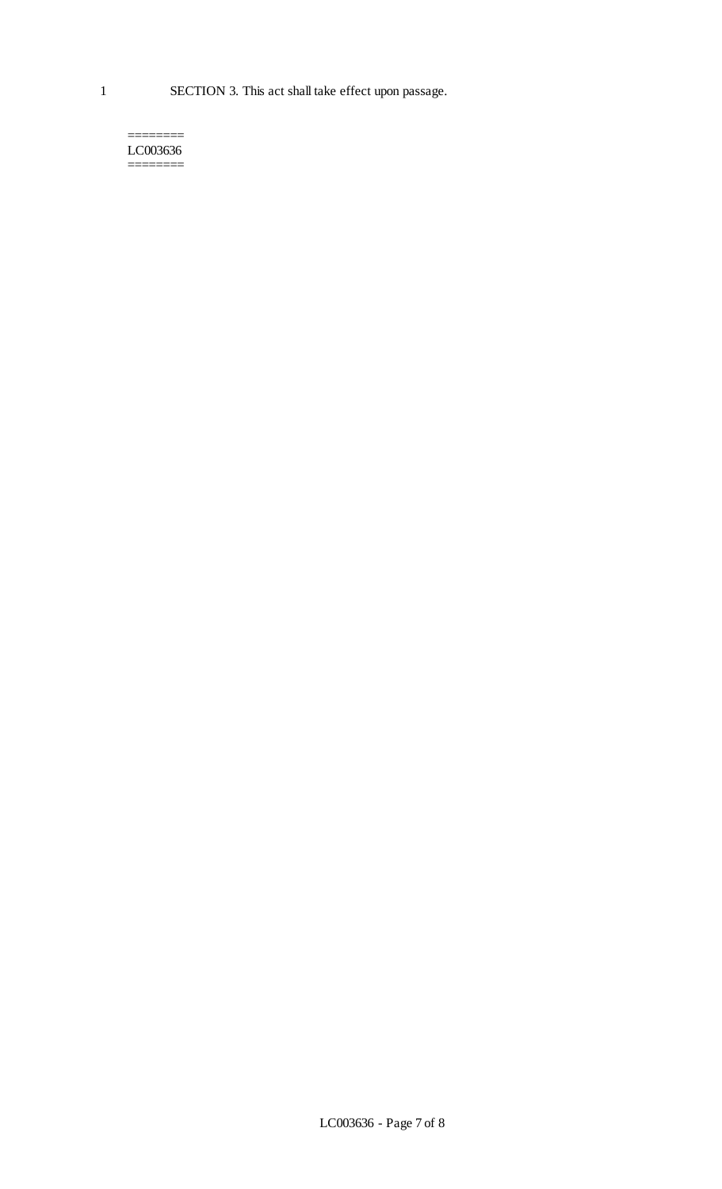======== LC003636 ========